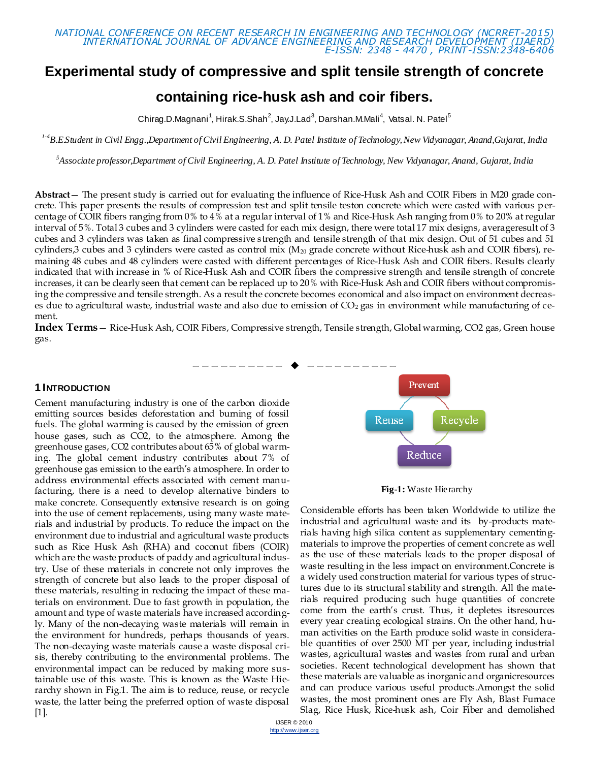*NATIONAL CONFERENCE ON RECENT RESEARCH IN ENGINEERING AND TECHNOLOGY (NCRRET-2015) INTERNATIONAL JOURNAL OF ADVANCE ENGINEERING AND RESEARCH DEVELOPMENT (IJAERD) E-ISSN: 2348 - 4470 , PRINT-ISSN:2348-6406*

# **Experimental study of compressive and split tensile strength of concrete**

# **containing rice-husk ash and coir fibers.**

Chirag.D.Magnani<sup>1</sup>, Hirak.S.Shah<sup>2</sup>, Jay.J.Lad<sup>3</sup>, Darshan.M.Mali<sup>4</sup>, Vatsal. N. Patel<sup>5</sup>

*1-4 B.E.Student in Civil Engg.,Department of Civil Engineering, A. D. Patel Institute of Technology, New Vidyanagar, Anand,Gujarat, India*

*5 Associate professor,Department of Civil Engineering, A. D. Patel Institute of Technology, New Vidyanagar, Anand, Gujarat, India*

**Abstract**— The present study is carried out for evaluating the influence of Rice-Husk Ash and COIR Fibers in M20 grade concrete. This paper presents the results of compression test and split tensile teston concrete which were casted with various percentage of COIR fibers ranging from 0% to 4% at a regular interval of 1% and Rice-Husk Ash ranging from 0% to 20% at regular interval of 5%. Total 3 cubes and 3 cylinders were casted for each mix design, there were total 17 mix designs, averageresult of 3 cubes and 3 cylinders was taken as final compressive strength and tensile strength of that mix design. Out of 51 cubes and 51 cylinders,3 cubes and 3 cylinders were casted as control mix  $(M_{20}$  grade concrete without Rice-husk ash and COIR fibers), remaining 48 cubes and 48 cylinders were casted with different percentages of Rice-Husk Ash and COIR fibers. Results clearly indicated that with increase in % of Rice-Husk Ash and COIR fibers the compressive strength and tensile strength of concrete increases, it can be clearly seen that cement can be replaced up to 20% with Rice-Husk Ash and COIR fibers without compromising the compressive and tensile strength. As a result the concrete becomes economical and also impact on environment decreases due to agricultural waste, industrial waste and also due to emission of  $CO<sub>2</sub>$  gas in environment while manufacturing of cement.

**Index Terms**— Rice-Husk Ash, COIR Fibers, Compressive strength, Tensile strength, Global warming, CO2 gas, Green house gas.

#### **1 INTRODUCTION**

Cement manufacturing industry is one of the carbon dioxide emitting sources besides deforestation and burning of fossil fuels. The global warming is caused by the emission of green house gases, such as CO2, to the atmosphere. Among the greenhouse gases, CO2 contributes about 65% of global warming. The global cement industry contributes about 7% of greenhouse gas emission to the earth's atmosphere. In order to address environmental effects associated with cement manufacturing, there is a need to develop alternative binders to make concrete. Consequently extensive research is on going into the use of cement replacements, using many waste materials and industrial by products. To reduce the impact on the environment due to industrial and agricultural waste products such as Rice Husk Ash (RHA) and coconut fibers (COIR) which are the waste products of paddy and agricultural industry. Use of these materials in concrete not only improves the strength of concrete but also leads to the proper disposal of these materials, resulting in reducing the impact of these materials on environment. Due to fast growth in population, the amount and type of waste materials have increased accordingly. Many of the non-decaying waste materials will remain in the environment for hundreds, perhaps thousands of years. The non-decaying waste materials cause a waste disposal crisis, thereby contributing to the environmental problems. The environmental impact can be reduced by making more sustainable use of this waste. This is known as the Waste Hierarchy shown in Fig.1. The aim is to reduce, reuse, or recycle waste, the latter being the preferred option of waste disposal [1].





Considerable efforts has been taken Worldwide to utilize the industrial and agricultural waste and its by-products materials having high silica content as supplementary cementingmaterials to improve the properties of cement concrete as well as the use of these materials leads to the proper disposal of waste resulting in the less impact on environment.Concrete is a widely used construction material for various types of structures due to its structural stability and strength. All the materials required producing such huge quantities of concrete come from the earth's crust. Thus, it depletes itsresources every year creating ecological strains. On the other hand, human activities on the Earth produce solid waste in considerable quantities of over 2500 MT per year, including industrial wastes, agricultural wastes and wastes from rural and urban societies. Recent technological development has shown that these materials are valuable as inorganic and organicresources and can produce various useful products.Amongst the solid wastes, the most prominent ones are Fly Ash, Blast Furnace Slag, Rice Husk, Rice-husk ash, Coir Fiber and demolished

IJSER © 2010 http://www.ijser.org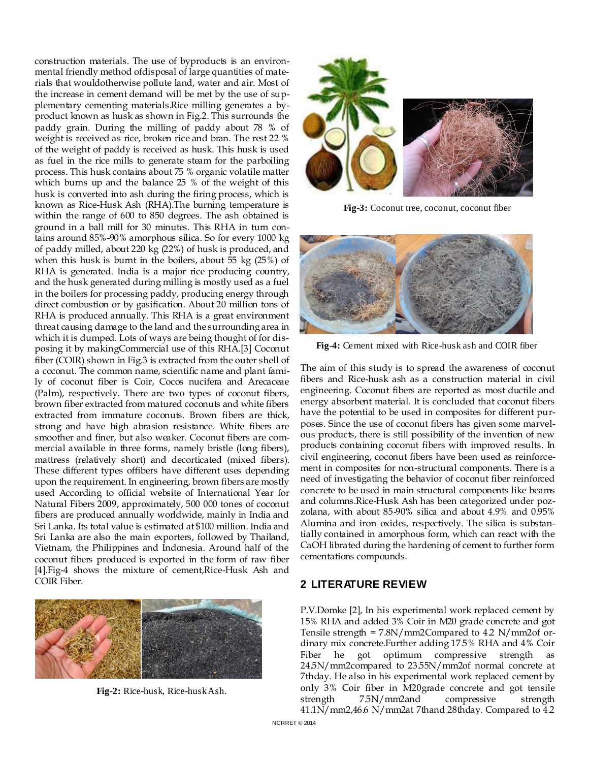construction materials. The use of byproducts is an environmental friendly method ofdisposal of large quantities of materials that wouldotherwise pollute land, water and air. Most of the increase in cement demand will be met by the use of supplementary cementing materials.Rice milling generates a byproduct known as husk as shown in Fig.2. This surrounds the paddy grain. During the milling of paddy about 78 % of weight is received as rice, broken rice and bran. The rest 22 % of the weight of paddy is received as husk. This husk is used as fuel in the rice mills to generate steam for the parboiling process. This husk contains about 75 % organic volatile matter which burns up and the balance 25 % of the weight of this husk is converted into ash during the firing process, which is known as Rice-Husk Ash (RHA).The burning temperature is within the range of 600 to 850 degrees. The ash obtained is ground in a ball mill for 30 minutes. This RHA in turn contains around 85%-90% amorphous silica. So for every 1000 kg of paddy milled, about 220 kg (22%) of husk is produced, and when this husk is burnt in the boilers, about 55 kg (25%) of RHA is generated. India is a major rice producing country, and the husk generated during milling is mostly used as a fuel in the boilers for processing paddy, producing energy through direct combustion or by gasification. About 20 million tons of RHA is produced annually. This RHA is a great environment threat causing damage to the land and the surrounding area in which it is dumped. Lots of ways are being thought of for disposing it by makingCommercial use of this RHA.[3] Coconut fiber (COIR) shown in Fig.3 is extracted from the outer shell of a coconut. The common name, scientific name and plant family of coconut fiber is Coir, Cocos nucifera and Arecaceae (Palm), respectively. There are two types of coconut fibers, brown fiber extracted from matured coconuts and white fibers extracted from immature coconuts. Brown fibers are thick, strong and have high abrasion resistance. White fibers are smoother and finer, but also weaker. Coconut fibers are commercial available in three forms, namely bristle (long fibers), mattress (relatively short) and decorticated (mixed fibers). These different types offibers have different uses depending upon the requirement. In engineering, brown fibers are mostly used According to official website of International Year for Natural Fibers 2009, approximately, 500 000 tones of coconut fibers are produced annually worldwide, mainly in India and Sri Lanka. Its total value is estimated at \$100 million. India and Sri Lanka are also the main exporters, followed by Thailand, Vietnam, the Philippines and Indonesia. Around half of the coconut fibers produced is exported in the form of raw fiber [4].Fig-4 shows the mixture of cement,Rice-Husk Ash and COIR Fiber.



**Fig-2:** Rice-husk, Rice-husk Ash.



**Fig-3:** Coconut tree, coconut, coconut fiber



**Fig-4:** Cement mixed with Rice-husk ash and COIR fiber

The aim of this study is to spread the awareness of coconut fibers and Rice-husk ash as a construction material in civil engineering. Coconut fibers are reported as most ductile and energy absorbent material. It is concluded that coconut fibers have the potential to be used in composites for different purposes. Since the use of coconut fibers has given some marvelous products, there is still possibility of the invention of new products containing coconut fibers with improved results. In civil engineering, coconut fibers have been used as reinforcement in composites for non-structural components. There is a need of investigating the behavior of coconut fiber reinforced concrete to be used in main structural components like beams and columns.Rice-Husk Ash has been categorized under pozzolana, with about 85-90% silica and about 4.9% and 0.95% Alumina and iron oxides, respectively. The silica is substantially contained in amorphous form, which can react with the CaOH librated during the hardening of cement to further form cementations compounds.

# **2 LITERATURE REVIEW**

P.V.Domke [2], In his experimental work replaced cement by 15% RHA and added 3% Coir in M20 grade concrete and got Tensile strength = 7.8N/mm2Compared to 4.2 N/mm2of ordinary mix concrete.Further adding 17.5% RHA and 4% Coir Fiber he got optimum compressive strength as 24.5N/mm2compared to 23.55N/mm2of normal concrete at 7thday. He also in his experimental work replaced cement by only 3% Coir fiber in M20grade concrete and got tensile strength 7.5N/mm2and compressive strength 41.1N/mm2,46.6 N/mm2at 7thand 28thday. Compared to 4.2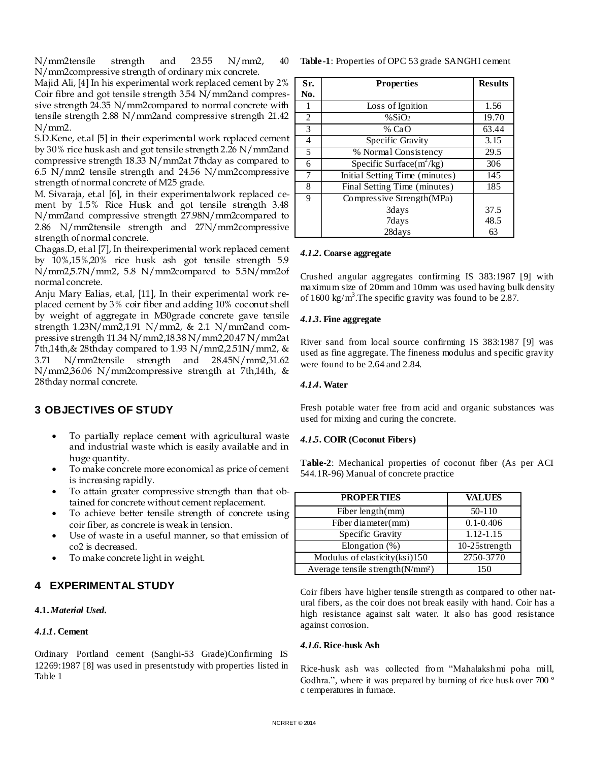N/mm2tensile strength and 23.55 N/mm2, 40 N/mm2compressive strength of ordinary mix concrete.

Majid Ali, [4] In his experimental work replaced cement by 2% Coir fibre and got tensile strength 3.54 N/mm2and compressive strength 24.35 N/mm2compared to normal concrete with tensile strength 2.88 N/mm2and compressive strength 21.42 N/mm2.

S.D.Kene, et.al [5] in their experimental work replaced cement by 30% rice husk ash and got tensile strength 2.26 N/mm2and compressive strength 18.33 N/mm2at 7thday as compared to 6.5 N/mm2 tensile strength and 24.56 N/mm2compressive strength of normal concrete of M25 grade.

M. Sivaraja, et.al [6], in their experimentalwork replaced cement by 1.5% Rice Husk and got tensile strength 3.48 N/mm2and compressive strength 27.98N/mm2compared to 2.86 N/mm2tensile strength and 27N/mm2compressive strength of normal concrete.

Chagas.D, et.al [7], In theirexperimental work replaced cement by 10%,15%,20% rice husk ash got tensile strength 5.9 N/mm2,5.7N/mm2, 5.8 N/mm2compared to 5.5N/mm2of normal concrete.

Anju Mary Ealias, et.al, [11], In their experimental work replaced cement by 3% coir fiber and adding 10% coconut shell by weight of aggregate in M30grade concrete gave tensile strength 1.23N/mm2,1.91 N/mm2, & 2.1 N/mm2and compressive strength 11.34 N/mm2,18.38 N/mm2,20.47 N/mm2at 7th,14th,& 28thday compared to 1.93 N/mm2,2.51N/mm2, & 3.71 N/mm2tensile strength and 28.45N/mm2,31.62 N/mm2,36.06 N/mm2compressive strength at 7th,14th, & 28thday normal concrete.

# **3 OBJECTIVES OF STUDY**

- To partially replace cement with agricultural waste and industrial waste which is easily available and in huge quantity.
- To make concrete more economical as price of cement is increasing rapidly.
- To attain greater compressive strength than that obtained for concrete without cement replacement.
- To achieve better tensile strength of concrete using coir fiber, as concrete is weak in tension.
- Use of waste in a useful manner, so that emission of co2 is decreased.
- To make concrete light in weight.

# **4 EXPERIMENTAL STUDY**

# **4.1.** *Material Used.*

# *4.1.1***. Cement**

Ordinary Portland cement (Sanghi-53 Grade)Confirming IS 12269:1987 [8] was used in presentstudy with properties listed in Table 1

#### **Table-1**: Properties of OPC 53 grade SANGHI cement

| Sr.            | <b>Properties</b>              | <b>Results</b> |
|----------------|--------------------------------|----------------|
| No.            |                                |                |
| 1              | Loss of Ignition               | 1.56           |
| 2              | %SiO <sub>2</sub>              | 19.70          |
| $\overline{3}$ | % CaO                          | 63.44          |
| $\overline{4}$ | Specific Gravity               | 3.15           |
| 5              | % Normal Consistency           | 29.5           |
| 6              | Specific Surface $(m^2/kg)$    | 306            |
| 7              | Initial Setting Time (minutes) | 145            |
| 8              | Final Setting Time (minutes)   | 185            |
| 9              | Compressive Strength(MPa)      |                |
|                | 3days                          | 37.5           |
|                | 7days                          | 48.5           |
|                | 28days                         | 63             |

#### *4.1.2***. Coarse aggregate**

Crushed angular aggregates confirming IS 383:1987 [9] with maximum size of 20mm and 10mm was used having bulk density of 1600 kg/m<sup>3</sup>. The specific gravity was found to be 2.87.

#### *4.1.3***. Fine aggregate**

River sand from local source confirming IS 383:1987 [9] was used as fine aggregate. The fineness modulus and specific gravity were found to be 2.64 and 2.84.

# *4.1.4***. Water**

Fresh potable water free from acid and organic substances was used for mixing and curing the concrete.

#### *4.1.5***. COIR (Coconut Fibers)**

**Table-2**: Mechanical properties of coconut fiber (As per ACI 544.1R-96) Manual of concrete practice

| <b>PROPERTIES</b>                            | <b>VALUES</b> |
|----------------------------------------------|---------------|
| Fiber length(mm)                             | $50-110$      |
| Fiber diameter(mm)                           | $0.1 - 0.406$ |
| Specific Gravity                             | $1.12 - 1.15$ |
| Elongation $(\%)$                            | 10-25strength |
| Modulus of elasticity(ksi)150                | 2750-3770     |
| Average tensile strength(N/mm <sup>2</sup> ) | 150           |

Coir fibers have higher tensile strength as compared to other natural fibers, as the coir does not break easily with hand. Coir has a high resistance against salt water. It also has good resistance against corrosion.

#### *4.1.6***. Rice-husk Ash**

Rice-husk ash was collected from "Mahalakshmi poha mill, Godhra.", where it was prepared by burning of rice husk over 700 ° c temperatures in furnace.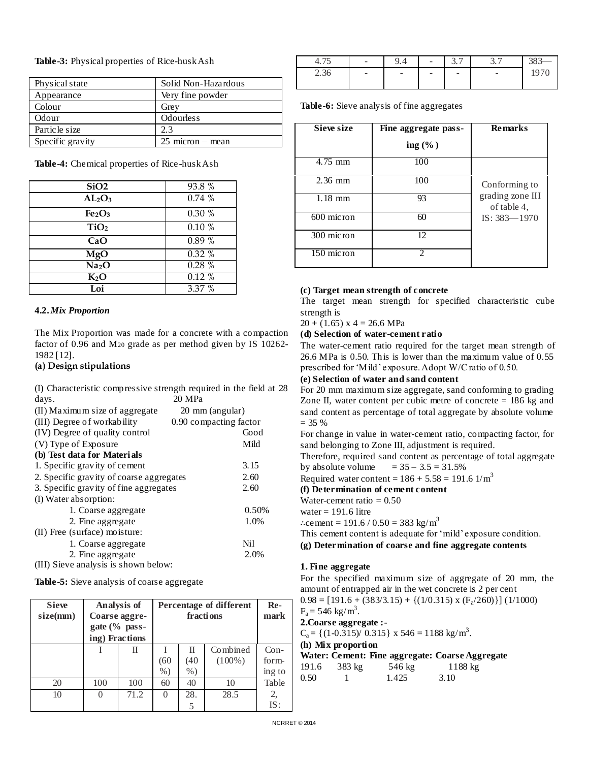**Table-3:** Physical properties of Rice-husk Ash

| Physical state   | Solid Non-Hazardous |
|------------------|---------------------|
| Appearance       | Very fine powder    |
| Colour           | Grey                |
| Odour            | <b>Odourless</b>    |
| Particle size    | 2.3                 |
| Specific gravity | $25$ micron – mean  |

**Table-4:** Chemical properties of Rice-husk Ash

| SiO2                             | 93.8 %   |
|----------------------------------|----------|
| AL <sub>2</sub> O <sub>3</sub>   | 0.74%    |
| Fe <sub>2</sub> O <sub>3</sub>   | 0.30%    |
| TiO <sub>2</sub>                 | 0.10%    |
| CaO                              | 0.89 %   |
| MgO                              | 0.32%    |
| $\overline{\text{Na}_2\text{O}}$ | 0.28%    |
| $K_2O$                           | $0.12\%$ |
| Loi                              | 3.37 %   |

# **4.2.** *Mix Proportion*

The Mix Proportion was made for a concrete with a compaction factor of 0.96 and M<sup>20</sup> grade as per method given by IS 10262- 1982 [12].

# **(a) Design stipulations**

(I) Characteristic compressive strength required in the field at 28 days. 20 MPa

| (II) Maximum size of aggregate           | 20 mm (angular)        |
|------------------------------------------|------------------------|
| (III) Degree of workability              | 0.90 compacting factor |
| (IV) Degree of quality control           | Good                   |
| (V) Type of Exposure                     | Mild                   |
| (b) Test data for Materials              |                        |
| 1. Specific gravity of cement            | 3.15                   |
| 2. Specific gravity of coarse aggregates | 2.60                   |
| 3. Specific gravity of fine aggregates   | 2.60                   |
| (I) Water absorption:                    |                        |
| 1. Coarse aggregate                      | 0.50%                  |
| 2. Fine aggregate                        | 1.0%                   |
| (II) Free (surface) mo isture:           |                        |
| 1. Coarse aggregate                      | Ni1                    |
| 2. Fine aggregate                        | 2.0%                   |
| (III) Sieve analysis is shown below:     |                        |

**Table-5:** Sieve analysis of coarse aggregate

| <b>Sieve</b><br>size(mm) | Analysis of<br>Coarse aggre-<br>gate (% pass-<br>ing) Fractions |      |          | fractions | Percentage of different | Re-<br>mark |
|--------------------------|-----------------------------------------------------------------|------|----------|-----------|-------------------------|-------------|
|                          |                                                                 | П    |          | П         | Combined                | $Con-$      |
|                          |                                                                 |      | (60)     | (40       | $(100\%)$               | form-       |
|                          |                                                                 |      | $%$ )    | $%$ )     |                         | ing to      |
| 20                       | 100                                                             | 100  | 60       | 40        | 10                      | Table       |
| 10                       |                                                                 | 71.2 | $\Omega$ | 28.       | 28.5                    | 2,          |
|                          |                                                                 |      |          |           |                         | IS:         |

| $- -$<br>᠇. ៸◡ | $\overline{\phantom{a}}$ | 4. | - | $\sim$<br>$\overline{a}$<br>، ، ب | J.     | -50 |
|----------------|--------------------------|----|---|-----------------------------------|--------|-----|
| 2. JO          | $\overline{\phantom{a}}$ | -  | - | ۰                                 | $\sim$ |     |

**Table-6:** Sieve analysis of fine aggregates

| Sieve size           | Fine aggregate pass- | <b>Remarks</b>                  |
|----------------------|----------------------|---------------------------------|
|                      | ing $(\% )$          |                                 |
| $\overline{4.75}$ mm | 100                  |                                 |
| $2.36$ mm            | 100                  | Conforming to                   |
| $1.18$ mm            | 93                   | grading zone III<br>of table 4, |
| 600 micron           | 60                   | $IS: 383 - 1970$                |
| 300 micron           | 12                   |                                 |
| 150 micron           | っ                    |                                 |

#### **(c) Target mean strength of concrete**

The target mean strength for specified characteristic cube strength is

 $20 + (1.65) \times 4 = 26.6 \text{ MPa}$ 

# **(d) Selection of water-cement ratio**

The water-cement ratio required for the target mean strength of 26.6 MPa is 0.50. This is lower than the maximum value of 0.55 prescribed for ‗Mild' exposure. Adopt W/C ratio of 0.50.

#### **(e) Selection of water and sand content**

For 20 mm maximum size aggregate, sand conforming to grading Zone II, water content per cubic metre of concrete  $= 186$  kg and sand content as percentage of total aggregate by absolute volume  $= 35 %$ 

For change in value in water-cement ratio, compacting factor, for sand belonging to Zone III, adjustment is required.

Therefore, required sand content as percentage of total aggregate by absolute volume  $= 35 - 3.5 = 31.5\%$ 

```
Required water content = 186 + 5.58 = 191.6 1/m<sup>3</sup>
```
**(f) Determination of cement content**

Water-cement ratio  $= 0.50$ 

water  $= 191.6$  litre

∴cement = 191.6 / 0.50 = 383 kg/m<sup>3</sup>

This cement content is adequate for 'mild' exposure condition.

**(g) Determination of coarse and fine aggregate contents**

#### **1. Fine aggregate**

For the specified maximum size of aggregate of 20 mm, the amount of entrapped air in the wet concrete is 2 per cent  $0.98 = [191.6 + (383/3.15) + \{(1/0.315) \times (F_a/260)\}]$  (1/1000)  $F_a = 546 \text{ kg/m}^3$ .

**2.Coarse aggregate :-**

 $C_a = \{(1-0.315)/0.315\} \times 546 = 1188 \text{ kg/m}^3.$ 

**(h) Mix proportion**

|       |        |                  | Water: Cement: Fine aggregate: Coarse Aggregate |
|-------|--------|------------------|-------------------------------------------------|
| 191.6 | 383 kg | $546 \text{ kg}$ | $1188 \text{ kg}$                               |
| 0.50  |        | 1.425            | 3.10                                            |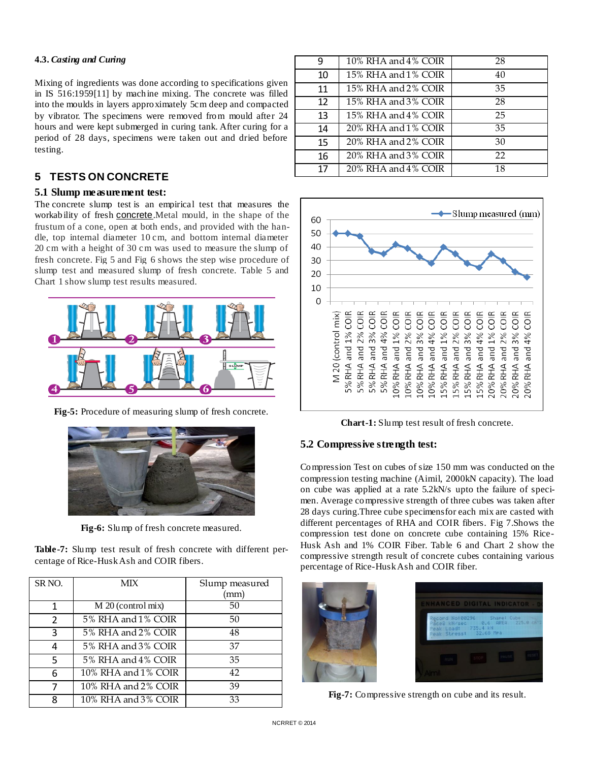#### **4.3.** *Casting and Curing*

Mixing of ingredients was done according to specifications given in IS 516:1959[11] by machine mixing. The concrete was filled into the moulds in layers approximately 5cm deep and compacted by vibrator. The specimens were removed from mould after 24 hours and were kept submerged in curing tank. After curing for a period of 28 days, specimens were taken out and dried before testing.

# **5 TESTS ON CONCRETE**

# **5.1 Slump measurement test:**

The concrete slump test is an empirical test that measures the workability of fresh [concrete](http://en.wikipedia.org/wiki/Concrete).Metal mould, in the shape of the frustum of a cone, open at both ends, and provided with the handle, top internal diameter 10 cm, and bottom internal diameter 20 cm with a height of 30 cm was used to measure the slump of fresh concrete. Fig 5 and Fig 6 shows the step wise procedure of slump test and measured slump of fresh concrete. Table 5 and Chart 1 show slump test results measured.



**Fig-5:** Procedure of measuring slump of fresh concrete.



**Fig-6:** Slump of fresh concrete measured.

**Table-7:** Slump test result of fresh concrete with different percentage of Rice-Husk Ash and COIR fibers.

| SR <sub>NO</sub> . | <b>MIX</b>          | Slump measured |
|--------------------|---------------------|----------------|
|                    |                     | (mm)           |
| 1                  | M 20 (control mix)  | 50             |
| $\overline{2}$     | 5% RHA and 1% COIR  | 50             |
| 3                  | 5% RHA and 2% COIR  | 48             |
| 4                  | 5% RHA and 3% COIR  | 37             |
| 5.                 | 5% RHA and 4% COIR  | 35             |
| 6                  | 10% RHA and 1% COIR | 42             |
|                    | 10% RHA and 2% COIR | 39             |
| 8                  | 10% RHA and 3% COIR | 33             |

| 9  | 10% RHA and 4% COIR | 28 |
|----|---------------------|----|
| 10 | 15% RHA and 1% COIR | 40 |
| 11 | 15% RHA and 2% COIR | 35 |
| 12 | 15% RHA and 3% COIR | 28 |
| 13 | 15% RHA and 4% COIR | 25 |
| 14 | 20% RHA and 1% COIR | 35 |
| 15 | 20% RHA and 2% COIR | 30 |
| 16 | 20% RHA and 3% COIR | 22 |
| 17 | 20% RHA and 4% COIR | 18 |



**Chart-1:** Slump test result of fresh concrete.

# **5.2 Compressive strength test:**

Compression Test on cubes of size 150 mm was conducted on the compression testing machine (Aimil, 2000kN capacity). The load on cube was applied at a rate 5.2kN/s upto the failure of specimen. Average compressive strength of three cubes was taken after 28 days curing.Three cube specimensfor each mix are casted with different percentages of RHA and COIR fibers. Fig 7.Shows the compression test done on concrete cube containing 15% Rice-Husk Ash and 1% COIR Fiber. Table 6 and Chart 2 show the compressive strength result of concrete cubes containing various percentage of Rice-Husk Ash and COIR fiber.



**Fig-7:** Compressive strength on cube and its result.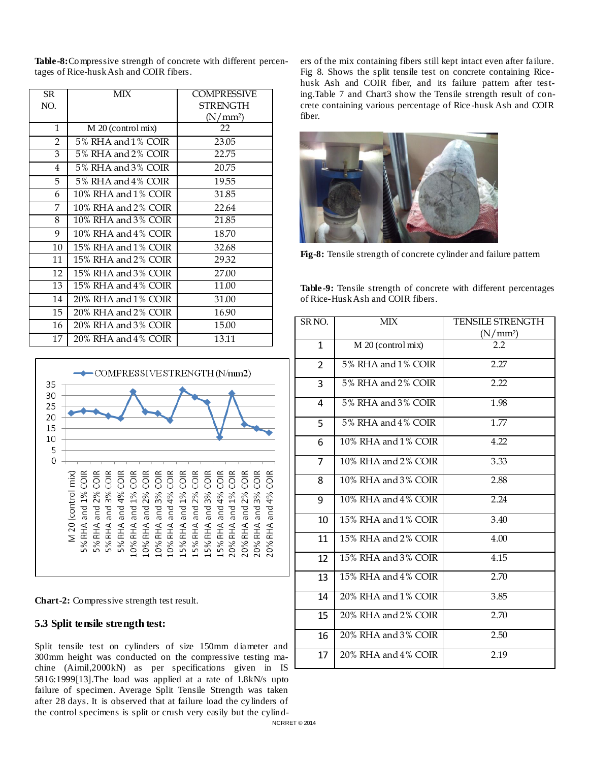**Table-8:**Compressive strength of concrete with different percentages of Rice-husk Ash and COIR fibers.

| <b>SR</b>      | <b>MIX</b>           | <b>COMPRESSIVE</b>   |
|----------------|----------------------|----------------------|
| NO.            |                      | <b>STRENGTH</b>      |
|                |                      | (N/mm <sup>2</sup> ) |
| 1              | $M 20$ (control mix) | 22                   |
| $\overline{2}$ | 5% RHA and 1% COIR   | 23.05                |
| 3              | 5% RHA and 2% COIR   | 22.75                |
| $\overline{4}$ | 5% RHA and 3% COIR   | 20.75                |
| 5.             | 5% RHA and 4% COIR   | 19.55                |
| 6              | 10% RHA and 1% COIR  | 31.85                |
| 7              | 10% RHA and 2% COIR  | 22.64                |
| 8              | 10% RHA and 3% COIR  | 21.85                |
| 9              | 10% RHA and 4% COIR  | 18.70                |
| 10             | 15% RHA and 1% COIR  | 32.68                |
| 11             | 15% RHA and 2% COIR  | 2932                 |
| 12             | 15% RHA and 3% COIR  | 27.00                |
| 13             | 15% RHA and 4% COIR  | 11.00                |
| 14             | 20% RHA and 1% COIR  | 31.00                |
| 15             | 20% RHA and 2% COIR  | 16.90                |
| 16             | 20% RHA and 3% COIR  | 15.00                |
| 17             | 20% RHA and 4% COIR  | 13.11                |



**Chart-2:** Compressive strength test result.

# **5.3 Split tensile strength test:**

Split tensile test on cylinders of size 150mm diameter and 300mm height was conducted on the compressive testing machine (Aimil,2000kN) as per specifications given in IS 5816:1999[13].The load was applied at a rate of 1.8kN/s upto failure of specimen. Average Split Tensile Strength was taken after 28 days. It is observed that at failure load the cylinders of the control specimens is split or crush very easily but the cylinders of the mix containing fibers still kept intact even after failure. Fig 8. Shows the split tensile test on concrete containing Ricehusk Ash and COIR fiber, and its failure pattern after testing.Table 7 and Chart3 show the Tensile strength result of concrete containing various percentage of Rice -husk Ash and COIR fiber.



**Fig-8:** Tensile strength of concrete cylinder and failure pattern

**Table-9:** Tensile strength of concrete with different percentages of Rice-Husk Ash and COIR fibers.

| SR <sub>NO</sub> . | $\overline{MIX}$    | <b>TENSILE STRENGTH</b> |
|--------------------|---------------------|-------------------------|
|                    |                     | (N/mm <sup>2</sup> )    |
| $\mathbf{1}$       | M 20 (control mix)  | 2.2                     |
| 2                  | 5% RHA and 1% COIR  | 2.27                    |
| 3                  | 5% RHA and 2% COIR  | 2.22                    |
| 4                  | 5% RHA and 3% COIR  | 1.98                    |
| 5                  | 5% RHA and 4% COIR  | 1.77                    |
| 6                  | 10% RHA and 1% COIR | 4.22                    |
| $\overline{7}$     | 10% RHA and 2% COIR | 3.33                    |
| 8                  | 10% RHA and 3% COIR | 2.88                    |
| 9                  | 10% RHA and 4% COIR | 2.24                    |
| 10                 | 15% RHA and 1% COIR | 3.40                    |
| 11                 | 15% RHA and 2% COIR | 4.00                    |
| 12                 | 15% RHA and 3% COIR | 4.15                    |
| 13                 | 15% RHA and 4% COIR | 2.70                    |
| 14                 | 20% RHA and 1% COIR | 3.85                    |
| 15                 | 20% RHA and 2% COIR | 2.70                    |
| 16                 | 20% RHA and 3% COIR | 2.50                    |
| 17                 | 20% RHA and 4% COIR | 2.19                    |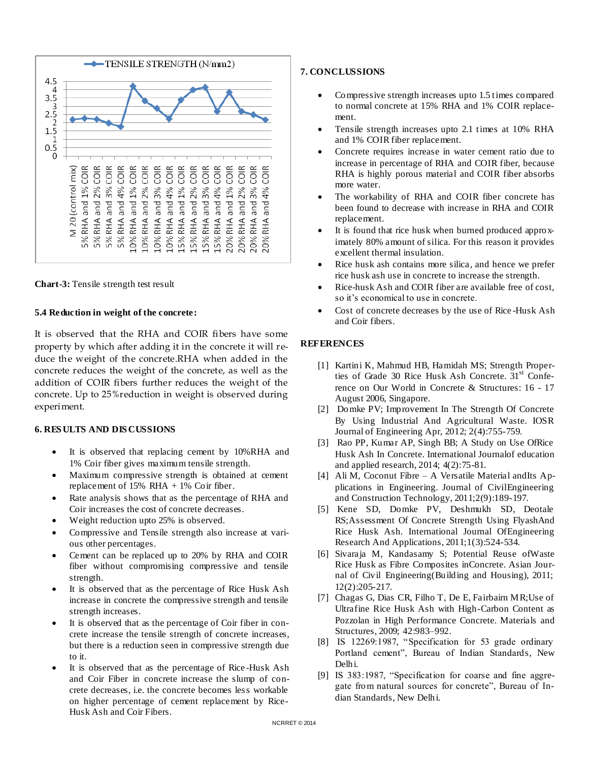

**Chart-3:** Tensile strength test result

# **5.4 Reduction in weight of the concrete:**

It is observed that the RHA and COIR fibers have some property by which after adding it in the concrete it will reduce the weight of the concrete.RHA when added in the concrete reduces the weight of the concrete, as well as the addition of COIR fibers further reduces the weight of the concrete. Up to 25%reduction in weight is observed during experiment.

# **6. RES ULTS AND DIS CUSSIONS**

- It is observed that replacing cement by 10%RHA and 1% Coir fiber gives maximum tensile strength.
- Maximum compressive strength is obtained at cement replacement of 15% RHA + 1% Coir fiber.
- Rate analysis shows that as the percentage of RHA and Coir increases the cost of concrete decreases.
- Weight reduction upto 25% is observed.
- Compressive and Tensile strength also increase at various other percentages.
- Cement can be replaced up to 20% by RHA and COIR fiber without compromising compressive and tensile strength.
- It is observed that as the percentage of Rice Husk Ash increase in concrete the compressive strength and tensile strength increases.
- It is observed that as the percentage of Coir fiber in concrete increase the tensile strength of concrete increases, but there is a reduction seen in compressive strength due to it.
- It is observed that as the percentage of Rice -Husk Ash and Coir Fiber in concrete increase the slump of concrete decreases, i.e. the concrete becomes less workable on higher percentage of cement replacement by Rice-Husk Ash and Coir Fibers.

# **7. CONCLUSSIONS**

- Compressive strength increases upto 1.5 times compared to normal concrete at 15% RHA and 1% COIR replacement.
- Tensile strength increases upto 2.1 times at 10% RHA and 1% COIR fiber replacement.
- Concrete requires increase in water cement ratio due to increase in percentage of RHA and COIR fiber, because RHA is highly porous material and COIR fiber absorbs more water.
- The workability of RHA and COIR fiber concrete has been found to decrease with increase in RHA and COIR replacement.
- It is found that rice husk when burned produced approximately 80% amount of silica. For this reason it provides excellent thermal insulation.
- Rice husk ash contains more silica, and hence we prefer rice husk ash use in concrete to increase the strength.
- Rice-husk Ash and COIR fiber are available free of cost, so it's economical to use in concrete.
- Cost of concrete decreases by the use of Rice-Husk Ash and Coir fibers.

#### **REFERENCES**

- [1] Kartini K, Mahmud HB, Hamidah MS; Strength Properties of Grade 30 Rice Husk Ash Concrete. 31<sup>st</sup> Conference on Our World in Concrete & Structures: 16 - 17 August 2006, Singapore.
- [2] Domke PV; Improvement In The Strength Of Concrete By Using Industrial And Agricultural Waste. IOSR Journal of Engineering Apr, 2012; 2(4):755-759.
- [3] Rao PP, Kumar AP, Singh BB; A Study on Use OfRice Husk Ash In Concrete. International Journalof education and applied research, 2014; 4(2):75-81.
- [4] Ali M, Coconut Fibre A Versatile Material andIts Applications in Engineering. Journal of CivilEngineering and Construction Technology, 2011;2(9):189-197.
- [5] Kene SD, Domke PV, Deshmukh SD, Deotale RS;Assessment Of Concrete Strength Using FlyashAnd Rice Husk Ash. International Journal OfEngineering Research And Applications, 2011;1(3):524-534.
- [6] Sivaraja M, Kandasamy S; Potential Reuse ofWaste Rice Husk as Fibre Composites inConcrete. Asian Journal of Civil Engineering(Building and Housing), 2011; 12(2):205-217.
- [7] Chagas G, Dias CR, Filho T, De E, Fairbairn MR;Use of Ultrafine Rice Husk Ash with High-Carbon Content as Pozzolan in High Performance Concrete. Materials and Structures, 2009; 42:983–992.
- [8] IS  $12269:1987$ , "Specification for 53 grade ordinary Portland cement", Bureau of Indian Standards, New Delhi.
- [9] IS 383:1987, "Specification for coarse and fine aggregate from natural sources for concrete", Bureau of Indian Standards, New Delhi.